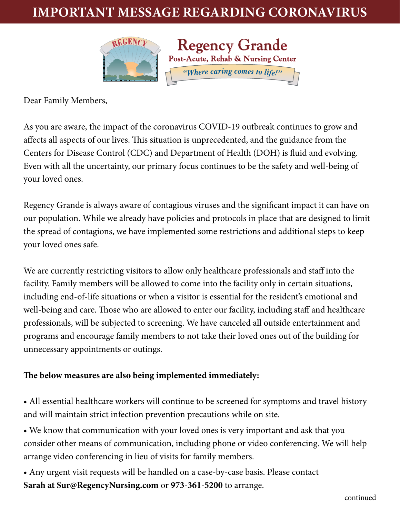## **Important Message Regarding Coronavirus**



Dear Family Members,

As you are aware, the impact of the coronavirus COVID-19 outbreak continues to grow and affects all aspects of our lives. This situation is unprecedented, and the guidance from the Centers for Disease Control (CDC) and Department of Health (DOH) is fluid and evolving. Even with all the uncertainty, our primary focus continues to be the safety and well-being of your loved ones.

Regency Grande is always aware of contagious viruses and the significant impact it can have on our population. While we already have policies and protocols in place that are designed to limit the spread of contagions, we have implemented some restrictions and additional steps to keep your loved ones safe.

We are currently restricting visitors to allow only healthcare professionals and staff into the facility. Family members will be allowed to come into the facility only in certain situations, including end-of-life situations or when a visitor is essential for the resident's emotional and well-being and care. Those who are allowed to enter our facility, including staff and healthcare professionals, will be subjected to screening. We have canceled all outside entertainment and programs and encourage family members to not take their loved ones out of the building for unnecessary appointments or outings.

## **The below measures are also being implemented immediately:**

• All essential healthcare workers will continue to be screened for symptoms and travel history and will maintain strict infection prevention precautions while on site.

• We know that communication with your loved ones is very important and ask that you consider other means of communication, including phone or video conferencing. We will help arrange video conferencing in lieu of visits for family members.

• Any urgent visit requests will be handled on a case-by-case basis. Please contact **[Sarah at Sur@RegencyNursing.com](mailto:Sarah%20at%20Sur%40RegencyNursing.com?subject=)** or **973-361-5200** to arrange.

continued